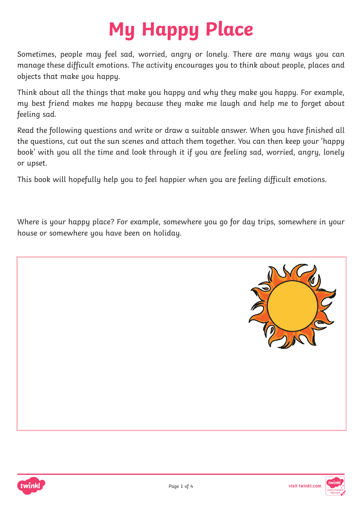## **My Happy Place**

Sometimes, people may feel sad, worried, angry or lonely. There are many ways you can manage these difficult emotions. The activity encourages you to think about people, places and objects that make you happy.

Think about all the things that make you happy and why they make you happy. For example, my best friend makes me happy because they make me laugh and help me to forget about feeling sad.

Read the following questions and write or draw a suitable answer. When you have finished all the questions, cut out the sun scenes and attach them together. You can then keep your 'happy book' with you all the time and look through it if you are feeling sad, worried, angry, lonely or upset.

This book will hopefully help you to feel happier when you are feeling difficult emotions.

Where is your happy place? For example, somewhere you go for day trips, somewhere in your house or somewhere you have been on holiday.





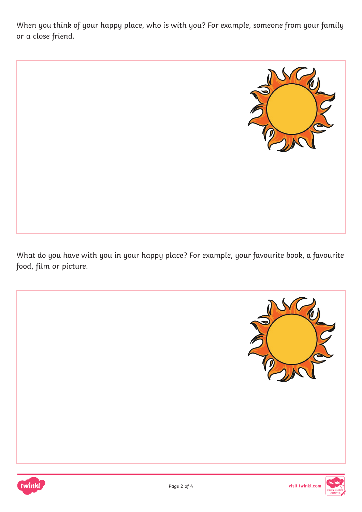When you think of your happy place, who is with you? For example, someone from your family or a close friend.



What do you have with you in your happy place? For example, your favourite book, a favourite food, film or picture.





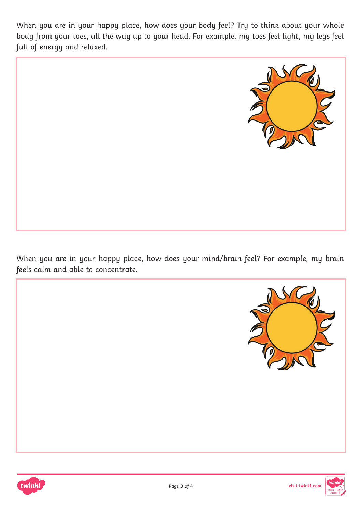When you are in your happy place, how does your body feel? Try to think about your whole body from your toes, all the way up to your head. For example, my toes feel light, my legs feel full of energy and relaxed.



When you are in your happy place, how does your mind/brain feel? For example, my brain feels calm and able to concentrate.